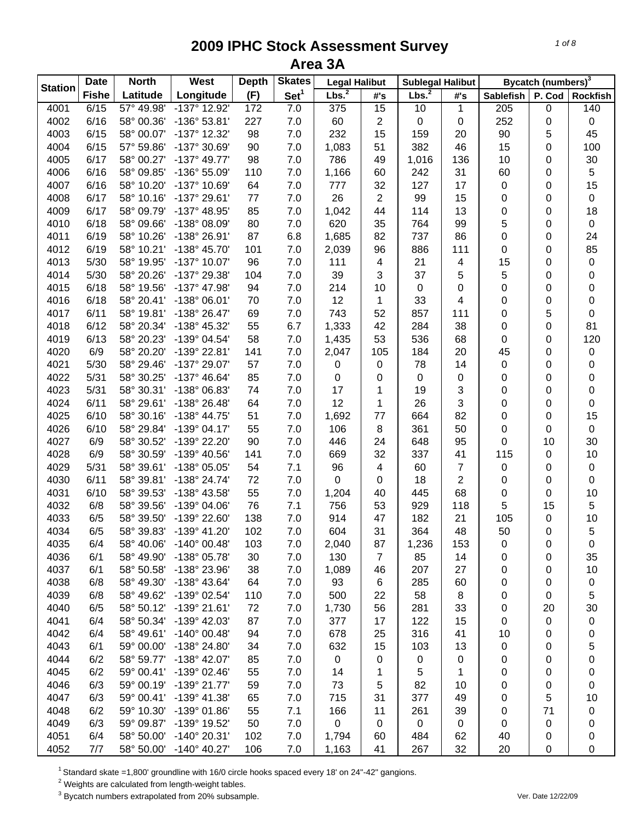|                | <b>Date</b>  | <b>North</b> | West                  | <b>Depth</b> | <b>Skates</b>    | <b>Legal Halibut</b> |                  | <b>Sublegal Halibut</b> |                         |                  | Bycatch (numbers) <sup>3</sup> |                  |
|----------------|--------------|--------------|-----------------------|--------------|------------------|----------------------|------------------|-------------------------|-------------------------|------------------|--------------------------------|------------------|
| <b>Station</b> | <b>Fishe</b> | Latitude     | Longitude             | (F)          | Set <sup>1</sup> | Lbs. <sup>2</sup>    | #'s              | Lbs. <sup>2</sup>       | #'s                     | <b>Sablefish</b> | P. Cod                         | <b>Rockfish</b>  |
| 4001           | 6/15         | 57° 49.98'   | $-137^\circ$ 12.92    | 172          | 7.0              | 375                  | $\overline{15}$  | 10                      | 1                       | 205              | $\pmb{0}$                      | $\overline{140}$ |
| 4002           | 6/16         | 58° 00.36'   | -136° 53.81'          | 227          | 7.0              | 60                   | 2                | $\pmb{0}$               | $\pmb{0}$               | 252              | 0                              | $\pmb{0}$        |
| 4003           | 6/15         | 58° 00.07'   | -137° 12.32'          | 98           | 7.0              | 232                  | 15               | 159                     | 20                      | 90               | 5                              | 45               |
| 4004           | 6/15         | 57° 59.86'   | -137° 30.69'          | 90           | 7.0              | 1,083                | 51               | 382                     | 46                      | 15               | 0                              | 100              |
| 4005           | 6/17         | 58° 00.27'   | $-137^{\circ}$ 49.77' | 98           | 7.0              | 786                  | 49               | 1,016                   | 136                     | 10               | 0                              | 30               |
| 4006           | 6/16         | 58° 09.85'   | -136° 55.09'          | 110          | 7.0              | 1,166                | 60               | 242                     | 31                      | 60               | 0                              | $\,$ 5 $\,$      |
| 4007           | 6/16         | 58° 10.20'   | -137° 10.69'          | 64           | 7.0              | 777                  | 32               | 127                     | 17                      | 0                | 0                              | 15               |
| 4008           | 6/17         | 58° 10.16'   | -137° 29.61'          | 77           | 7.0              | 26                   | 2                | 99                      | 15                      | 0                | 0                              | $\pmb{0}$        |
| 4009           | 6/17         | 58° 09.79'   | -137° 48.95'          | 85           | 7.0              | 1,042                | 44               | 114                     | 13                      | 0                | 0                              | 18               |
| 4010           | 6/18         | 58° 09.66'   | -138° 08.09'          | 80           | 7.0              | 620                  | 35               | 764                     | 99                      | 5                | 0                              | $\pmb{0}$        |
| 4011           | 6/19         | 58° 10.26'   | -138° 26.91'          | 87           | 6.8              | 1,685                | 82               | 737                     | 86                      | 0                | 0                              | 24               |
| 4012           | 6/19         | 58° 10.21'   | -138° 45.70'          | 101          | 7.0              | 2,039                | 96               | 886                     | 111                     | 0                | 0                              | 85               |
| 4013           | 5/30         | 58° 19.95'   | -137° 10.07'          | 96           | 7.0              | 111                  | 4                | 21                      | $\overline{\mathbf{4}}$ | 15               | 0                              | 0                |
| 4014           | 5/30         | 58° 20.26'   | -137° 29.38'          | 104          | 7.0              | 39                   | 3                | 37                      | 5                       | 5                | 0                              | 0                |
| 4015           | 6/18         | 58° 19.56'   | -137° 47.98'          | 94           | 7.0              | 214                  | 10               | $\mathbf 0$             | 0                       | 0                | 0                              | 0                |
| 4016           | 6/18         | 58° 20.41'   | -138° 06.01'          | 70           | 7.0              | 12                   | 1                | 33                      | 4                       | 0                | 0                              | 0                |
| 4017           | 6/11         | 58° 19.81'   | $-138°26.47'$         | 69           | 7.0              | 743                  | 52               | 857                     | 111                     | 0                | 5                              | 0                |
| 4018           | 6/12         | 58° 20.34'   | -138° 45.32'          | 55           | 6.7              | 1,333                | 42               | 284                     | 38                      | 0                | 0                              | 81               |
| 4019           | 6/13         | 58° 20.23'   | -139° 04.54'          | 58           | 7.0              | 1,435                | 53               | 536                     | 68                      | 0                | 0                              | 120              |
| 4020           | 6/9          | 58° 20.20'   | -139° 22.81'          | 141          | 7.0              | 2,047                | 105              | 184                     | 20                      | 45               | 0                              | $\pmb{0}$        |
| 4021           | 5/30         | 58° 29.46'   | -137° 29.07'          | 57           | 7.0              | $\pmb{0}$            | 0                | 78                      | 14                      | 0                | 0                              | 0                |
| 4022           | 5/31         | 58° 30.25'   | $-137^{\circ}$ 46.64' | 85           | 7.0              | $\pmb{0}$            | 0                | $\mathbf 0$             | 0                       | 0                | 0                              | 0                |
| 4023           | 5/31         | 58° 30.31'   | -138° 06.83'          | 74           | 7.0              | 17                   | 1                | 19                      | 3                       | 0                | 0                              | 0                |
| 4024           | 6/11         | 58° 29.61'   | -138° 26.48'          | 64           | 7.0              | 12                   | 1                | 26                      | 3                       | 0                | 0                              | 0                |
| 4025           | 6/10         | 58° 30.16'   | -138° 44.75'          | 51           | 7.0              | 1,692                | 77               | 664                     | 82                      | 0                | 0                              | 15               |
| 4026           | 6/10         | 58° 29.84'   | $-139°04.17'$         | 55           | 7.0              | 106                  | 8                | 361                     | 50                      | 0                | 0                              | $\mathsf 0$      |
| 4027           | 6/9          | 58° 30.52'   | -139° 22.20'          | 90           | 7.0              | 446                  | 24               | 648                     | 95                      | 0                | 10                             | 30               |
| 4028           | 6/9          | 58° 30.59'   | $-139^{\circ}$ 40.56' | 141          | 7.0              | 669                  | 32               | 337                     | 41                      | 115              | 0                              | 10               |
| 4029           | 5/31         | 58° 39.61'   | -138° 05.05'          | 54           | 7.1              | 96                   | 4                | 60                      | $\overline{7}$          | 0                | 0                              | $\pmb{0}$        |
| 4030           | 6/11         | 58° 39.81'   | -138° 24.74'          | 72           | 7.0              | 0                    | 0                | 18                      | $\overline{2}$          |                  | 0                              | 0                |
|                |              |              | -138° 43.58'          |              |                  |                      |                  |                         | 68                      | 0                |                                |                  |
| 4031           | 6/10         | 58° 39.53'   |                       | 55           | 7.0              | 1,204                | 40               | 445                     |                         | 0                | 0                              | 10               |
| 4032           | 6/8          | 58° 39.56'   | $-139^{\circ}$ 04.06' | 76           | 7.1              | 756                  | 53               | 929                     | 118                     | 5                | 15                             | $\sqrt{5}$       |
| 4033           | 6/5          | 58° 39.50'   | -139° 22.60'          | 138          | 7.0              | 914                  | 47               | 182                     | 21                      | 105              | 0                              | 10               |
| 4034           | 6/5          | 58° 39.83'   | $-139°$ 41.20'        | 102          | 7.0              | 604                  | 31               | 364                     | 48                      | 50               | 0                              | 5                |
| 4035           | 6/4          | 58° 40.06'   | $-140^{\circ}$ 00.48' | 103          | 7.0              | 2,040                | 87               | 1,236                   | 153                     | 0                | 0                              | 0                |
| 4036           | 6/1          | 58° 49.90'   | -138° 05.78'          | 30           | 7.0              | 130                  | $\overline{7}$   | 85                      | 14                      | 0                | 0                              | 35               |
| 4037           | 6/1          | 58° 50.58'   | -138° 23.96'          | 38           | 7.0              | 1,089                | 46               | 207                     | 27                      | 0                | 0                              | 10               |
| 4038           | 6/8          | 58° 49.30'   | -138° 43.64'          | 64           | 7.0              | 93                   | 6                | 285                     | 60                      | 0                | 0                              | 0                |
| 4039           | 6/8          | 58° 49.62'   | -139° 02.54'          | 110          | 7.0              | 500                  | 22               | 58                      | 8                       | 0                | 0                              | 5                |
| 4040           | 6/5          | 58° 50.12'   | -139° 21.61'          | 72           | 7.0              | 1,730                | 56               | 281                     | 33                      | 0                | 20                             | 30               |
| 4041           | 6/4          | 58° 50.34'   | -139° 42.03'          | 87           | 7.0              | 377                  | 17               | 122                     | 15                      | 0                | 0                              | 0                |
| 4042           | 6/4          | 58° 49.61'   | $-140^{\circ}$ 00.48' | 94           | 7.0              | 678                  | 25               | 316                     | 41                      | 10               | 0                              | 0                |
| 4043           | 6/1          | 59° 00.00'   | -138° 24.80'          | 34           | $7.0$            | 632                  | 15               | 103                     | 13                      | 0                | 0                              | 5                |
| 4044           | 6/2          | 58° 59.77'   | -138° 42.07'          | 85           | 7.0              | $\pmb{0}$            | 0                | 0                       | 0                       | 0                | 0                              | 0                |
| 4045           | 6/2          | 59° 00.41'   | $-139^{\circ}$ 02.46' | 55           | 7.0              | 14                   | 1                | 5                       | 1                       | 0                | 0                              | 0                |
| 4046           | 6/3          | 59° 00.19'   | -139° 21.77'          | 59           | 7.0              | 73                   | 5                | 82                      | 10                      | 0                | 0                              | 0                |
| 4047           | 6/3          | 59° 00.41'   | -139° 41.38'          | 65           | 7.0              | 715                  | 31               | 377                     | 49                      | 0                | 5                              | 10               |
| 4048           | 6/2          | 59° 10.30'   | $-139^{\circ}$ 01.86  | 55           | 7.1              | 166                  | 11               | 261                     | 39                      | 0                | 71                             | 0                |
| 4049           | 6/3          | 59° 09.87'   | -139° 19.52'          | 50           | 7.0              | $\pmb{0}$            | $\boldsymbol{0}$ | $\pmb{0}$               | $\mathbf 0$             | 0                | 0                              | 0                |
| 4051           | 6/4          | 58° 50.00'   | $-140^{\circ}$ 20.31' | 102          | 7.0              | 1,794                | 60               | 484                     | 62                      | 40               | 0                              | 0                |
| 4052           | 7/7          | 58° 50.00'   | $-140^{\circ}$ 40.27' | 106          | 7.0              | 1,163                | 41               | 267                     | 32                      | 20               | 0                              | 0                |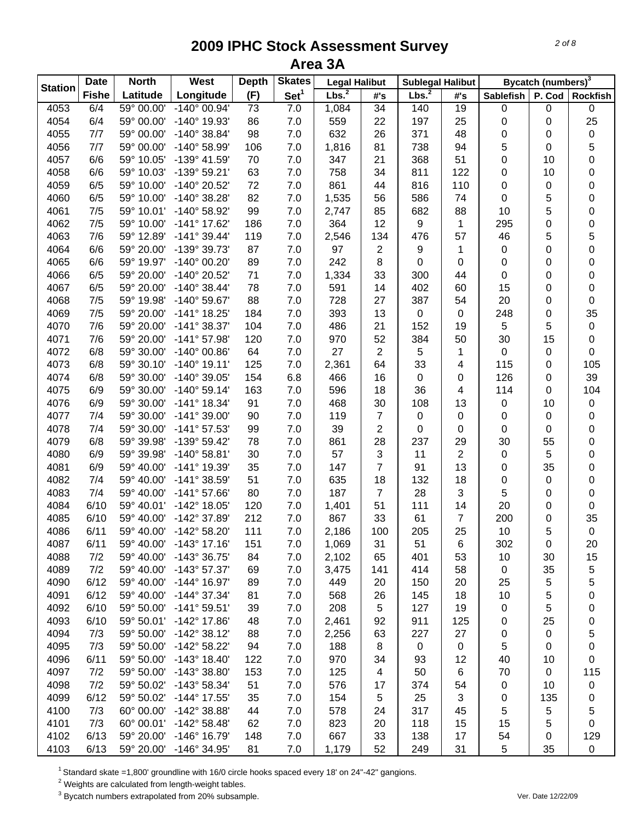|                | <b>Date</b>  | <b>North</b> | West                  | <b>Depth</b>    | <b>Skates</b>    | <b>Legal Halibut</b> |                | <b>Sublegal Halibut</b> |                |                  | Bycatch (numbers) <sup>3</sup> |                 |
|----------------|--------------|--------------|-----------------------|-----------------|------------------|----------------------|----------------|-------------------------|----------------|------------------|--------------------------------|-----------------|
| <b>Station</b> | <b>Fishe</b> | Latitude     | Longitude             | (F)             | Set <sup>1</sup> | Lbs. <sup>2</sup>    | #'s            | Lbs. <sup>2</sup>       | #'s            | <b>Sablefish</b> | P. Cod                         | <b>Rockfish</b> |
| 4053           | 6/4          | 59° 00.00'   | $-140^{\circ}$ 00.94' | $\overline{73}$ | 7.0              | 1,084                | 34             | 140                     | 19             | 0                | 0                              | 0               |
| 4054           | 6/4          | 59° 00.00'   | -140° 19.93'          | 86              | 7.0              | 559                  | 22             | 197                     | 25             | 0                | 0                              | 25              |
| 4055           | 7/7          | 59° 00.00'   | $-140^{\circ}$ 38.84' | 98              | 7.0              | 632                  | 26             | 371                     | 48             | 0                | 0                              | 0               |
| 4056           | 7/7          | 59° 00.00'   | -140° 58.99'          | 106             | 7.0              | 1,816                | 81             | 738                     | 94             | 5                | 0                              | 5               |
| 4057           | 6/6          | 59° 10.05'   | -139° 41.59'          | 70              | 7.0              | 347                  | 21             | 368                     | 51             | 0                | 10                             | 0               |
| 4058           | 6/6          | 59° 10.03'   | -139° 59.21'          | 63              | 7.0              | 758                  | 34             | 811                     | 122            | 0                | 10                             | 0               |
| 4059           | 6/5          | 59° 10.00'   | -140° 20.52'          | 72              | 7.0              | 861                  | 44             | 816                     | 110            | 0                | 0                              | 0               |
| 4060           | 6/5          | 59° 10.00'   | -140° 38.28'          | 82              | 7.0              | 1,535                | 56             | 586                     | 74             | 0                | 5                              | 0               |
| 4061           | 7/5          | 59° 10.01'   | -140° 58.92'          | 99              | 7.0              | 2,747                | 85             | 682                     | 88             | 10               | 5                              | 0               |
| 4062           | 7/5          | 59° 10.00'   | -141° 17.62'          | 186             | 7.0              | 364                  | 12             | 9                       | 1              | 295              | 0                              | 0               |
| 4063           | 7/6          | 59° 12.89'   | $-141°39.44'$         | 119             | 7.0              | 2,546                | 134            | 476                     | 57             | 46               | 5                              | 5               |
| 4064           | 6/6          | 59° 20.00'   | -139° 39.73'          | 87              | 7.0              | 97                   | 2              | 9                       | 1              | 0                | 0                              | 0               |
| 4065           | 6/6          | 59° 19.97'   | -140° 00.20'          | 89              | 7.0              | 242                  | 8              | $\mathbf 0$             | 0              | 0                | 0                              | 0               |
| 4066           | 6/5          | 59° 20.00'   | -140° 20.52'          | 71              | 7.0              | 1,334                | 33             | 300                     | 44             | 0                | 0                              | 0               |
| 4067           | 6/5          | 59° 20.00'   | $-140^{\circ}$ 38.44' | 78              | 7.0              | 591                  | 14             | 402                     | 60             | 15               | 0                              | 0               |
| 4068           | 7/5          | 59° 19.98'   | -140° 59.67'          | 88              | 7.0              | 728                  | 27             | 387                     | 54             | 20               | 0                              | 0               |
| 4069           | 7/5          | 59° 20.00'   | $-141°$ 18.25'        | 184             | 7.0              | 393                  | 13             | $\pmb{0}$               | $\pmb{0}$      | 248              | 0                              | 35              |
| 4070           | 7/6          | 59° 20.00'   | $-141°38.37'$         | 104             | 7.0              | 486                  | 21             | 152                     | 19             | 5                | 5                              | $\pmb{0}$       |
| 4071           | 7/6          | 59° 20.00'   | $-141°57.98'$         | 120             | 7.0              | 970                  | 52             | 384                     | 50             | 30               | 15                             | 0               |
| 4072           | 6/8          | 59° 30.00'   | $-140^{\circ}$ 00.86' | 64              | 7.0              | 27                   | $\overline{2}$ | $\overline{5}$          | 1              | $\pmb{0}$        | 0                              | 0               |
| 4073           | 6/8          | 59° 30.10'   | $-140^{\circ}$ 19.11' | 125             | 7.0              | 2,361                | 64             | 33                      | $\overline{4}$ | 115              | 0                              | 105             |
| 4074           | 6/8          | 59° 30.00'   | -140° 39.05'          | 154             | 6.8              | 466                  | 16             | $\pmb{0}$               | 0              | 126              | 0                              | 39              |
| 4075           | 6/9          | 59° 30.00'   | $-140^{\circ}$ 59.14' | 163             | 7.0              | 596                  | 18             | 36                      | $\overline{4}$ | 114              | 0                              | 104             |
| 4076           | 6/9          | 59° 30.00'   | -141° 18.34'          | 91              | 7.0              | 468                  | 30             | 108                     | 13             | 0                | 10                             | $\pmb{0}$       |
| 4077           | 7/4          | 59° 30.00'   | -141° 39.00'          | 90              | 7.0              | 119                  | $\overline{7}$ | $\mathbf 0$             | $\pmb{0}$      | 0                | 0                              | 0               |
| 4078           | 7/4          | 59° 30.00'   | $-141°57.53'$         | 99              | 7.0              | 39                   | 2              | 0                       | 0              | 0                | 0                              | 0               |
| 4079           | 6/8          | 59° 39.98'   | -139° 59.42'          | 78              | 7.0              | 861                  | 28             | 237                     | 29             | 30               | 55                             | 0               |
| 4080           | 6/9          | 59° 39.98'   | $-140^{\circ}$ 58.81' | 30              | 7.0              | 57                   | 3              | 11                      | $\overline{2}$ | 0                | 5                              | 0               |
| 4081           | 6/9          | 59° 40.00'   | -141° 19.39'          | 35              | 7.0              | 147                  | 7              | 91                      | 13             | 0                | 35                             | 0               |
| 4082           | 7/4          | 59° 40.00'   | $-141°38.59'$         | 51              | 7.0              | 635                  | 18             | 132                     | 18             | 0                | 0                              | 0               |
| 4083           | 7/4          | 59° 40.00'   | -141° 57.66'          | 80              | 7.0              | 187                  | $\overline{7}$ | 28                      | 3              | 5                | 0                              | 0               |
| 4084           | 6/10         | 59° 40.01'   | -142° 18.05'          | 120             | 7.0              | 1,401                | 51             | 111                     | 14             | 20               | 0                              | 0               |
| 4085           | 6/10         | 59° 40.00'   | -142° 37.89'          | 212             | 7.0              | 867                  | 33             | 61                      | $\overline{7}$ | 200              | 0                              | 35              |
| 4086           | 6/11         | 59° 40.00'   | $-142^{\circ} 58.20'$ | 111             | 7.0              | 2,186                | 100            | 205                     | 25             | 10               | 5                              | $\pmb{0}$       |
| 4087           | 6/11         | 59° 40.00'   | $-143^{\circ}$ 17.16  | 151             | 7.0              | 1,069                | 31             | 51                      | 6              | 302              | 0                              | 20              |
| 4088           | 7/2          | 59° 40.00'   | -143° 36.75'          | 84              | 7.0              | 2,102                | 65             | 401                     | 53             | 10               | 30                             | 15              |
| 4089           | 7/2          | 59° 40.00'   | $-143^{\circ}57.37'$  | 69              | 7.0              | 3,475                | 141            | 414                     | 58             | 0                | 35                             | 5               |
| 4090           | 6/12         | 59° 40.00'   | $-144^{\circ}$ 16.97' | 89              | 7.0              | 449                  | 20             | 150                     | 20             | 25               | 5                              | 5               |
| 4091           | 6/12         | 59° 40.00'   | -144° 37.34'          | 81              | $7.0$            | 568                  | 26             | 145                     | 18             | 10               | 5                              | 0               |
| 4092           | 6/10         | 59° 50.00'   | $-141°59.51'$         | 39              | $7.0$            | 208                  | 5              | 127                     | 19             | 0                | 5                              | 0               |
| 4093           | 6/10         | 59° 50.01'   | -142° 17.86'          | 48              | 7.0              | 2,461                | 92             | 911                     | 125            | 0                | 25                             | 0               |
| 4094           | 7/3          | 59° 50.00'   | $-142^{\circ}38.12'$  | 88              | 7.0              | 2,256                | 63             | 227                     | 27             | 0                | 0                              | 5               |
| 4095           | 7/3          | 59° 50.00'   | -142° 58.22'          | 94              | 7.0              | 188                  | 8              | $\mathbf 0$             | 0              | 5                | 0                              | 0               |
| 4096           | 6/11         | 59° 50.00'   | $-143^\circ$ 18.40    | 122             | 7.0              | 970                  | 34             | 93                      | 12             | 40               | 10                             | 0               |
| 4097           | 7/2          | 59° 50.00'   | $-143^{\circ}38.80'$  | 153             | 7.0              | 125                  | 4              | 50                      | 6              | 70               | 0                              | 115             |
| 4098           | 7/2          | 59° 50.02'   | $-143^{\circ}58.34'$  | 51              | 7.0              | 576                  | 17             | 374                     | 54             | 0                | 10                             | 0               |
| 4099           | 6/12         | 59° 50.02'   | -144° 17.55'          | 35              | 7.0              | 154                  | 5              | 25                      | 3              | 0                | 135                            | 0               |
| 4100           | 7/3          | 60° 00.00'   | -142° 38.88'          | 44              | 7.0              | 578                  | 24             | 317                     | 45             | 5                | 5                              | 5               |
| 4101           | 7/3          | 60° 00.01'   | $-142^{\circ}58.48'$  | 62              | 7.0              | 823                  | 20             | 118                     | 15             | 15               | 5                              | 0               |
| 4102           | 6/13         | 59° 20.00'   | -146° 16.79'          | 148             | $7.0$            | 667                  | 33             | 138                     | 17             | 54               | 0                              | 129             |
| 4103           | 6/13         | 59° 20.00'   | -146° 34.95'          | 81              | 7.0              | 1,179                | 52             | 249                     | 31             | 5                | 35                             | 0               |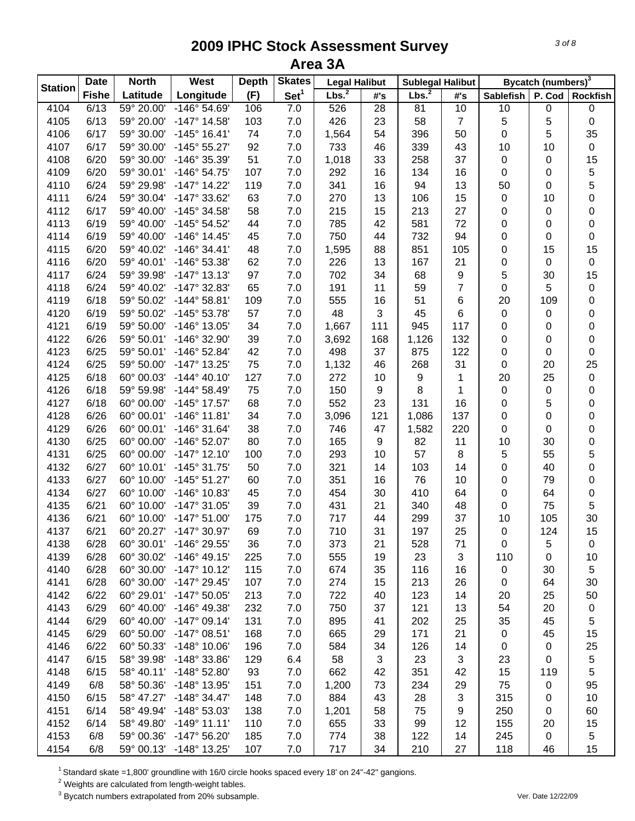|                | <b>Date</b>  | <b>North</b> | West                  | <b>Depth</b> | <b>Skates</b>    | <b>Legal Halibut</b> |                  | <b>Sublegal Halibut</b> |                  |                  |        | Bycatch (numbers) <sup>3</sup> |  |
|----------------|--------------|--------------|-----------------------|--------------|------------------|----------------------|------------------|-------------------------|------------------|------------------|--------|--------------------------------|--|
| <b>Station</b> | <b>Fishe</b> | Latitude     | Longitude             | (F)          | Set <sup>1</sup> | Lbs. <sup>2</sup>    | #'s              | Lbs. <sup>2</sup>       | #'s              | <b>Sablefish</b> | P. Cod | <b>Rockfish</b>                |  |
| 4104           | 6/13         | 59° 20.00'   | $-146°54.69'$         | 106          | 7.0              | 526                  | 28               | 81                      | 10               | 10               | 0      | $\pmb{0}$                      |  |
| 4105           | 6/13         | 59° 20.00'   | $-147°$ 14.58'        | 103          | 7.0              | 426                  | 23               | 58                      | $\overline{7}$   | 5                | 5      | $\pmb{0}$                      |  |
| 4106           | 6/17         | 59° 30.00'   | $-145^{\circ}$ 16.41' | 74           | 7.0              | 1,564                | 54               | 396                     | 50               | 0                | 5      | 35                             |  |
| 4107           | 6/17         | 59° 30.00'   | $-145°55.27'$         | 92           | $7.0\,$          | 733                  | 46               | 339                     | 43               | 10               | 10     | $\pmb{0}$                      |  |
| 4108           | 6/20         | 59° 30.00'   | -146° 35.39'          | 51           | $7.0\,$          | 1,018                | 33               | 258                     | 37               | $\pmb{0}$        | 0      | 15                             |  |
| 4109           | 6/20         | 59° 30.01'   | -146° 54.75'          | 107          | 7.0              | 292                  | 16               | 134                     | 16               | 0                | 0      | $\mathbf 5$                    |  |
| 4110           | 6/24         | 59° 29.98'   | $-147^{\circ}$ 14.22' | 119          | 7.0              | 341                  | 16               | 94                      | 13               | 50               | 0      | 5                              |  |
| 4111           | 6/24         | 59° 30.04'   | -147° 33.62'          | 63           | 7.0              | 270                  | 13               | 106                     | 15               | 0                | 10     | $\mathbf 0$                    |  |
| 4112           | 6/17         | 59° 40.00'   | -145° 34.58'          | 58           | 7.0              | 215                  | 15               | 213                     | 27               | 0                | 0      | $\mathbf 0$                    |  |
| 4113           | 6/19         | 59° 40.00'   | -145° 54.52'          | 44           | 7.0              | 785                  | 42               | 581                     | 72               | 0                | 0      | $\pmb{0}$                      |  |
| 4114           | 6/19         | 59° 40.00'   | $-146°$ 14.45'        | 45           | 7.0              | 750                  | 44               | 732                     | 94               | 0                | 0      | $\pmb{0}$                      |  |
| 4115           | 6/20         | 59° 40.02'   | $-146°34.41'$         | 48           | 7.0              | 1,595                | 88               | 851                     | 105              | 0                | 15     | 15                             |  |
| 4116           | 6/20         | 59° 40.01'   | -146° 53.38'          | 62           | 7.0              | 226                  | 13               | 167                     | 21               | 0                | 0      | 0                              |  |
| 4117           | 6/24         | 59° 39.98'   | $-147°$ 13.13'        | 97           | 7.0              | 702                  | 34               | 68                      | $\boldsymbol{9}$ | 5                | 30     | 15                             |  |
| 4118           | 6/24         | 59° 40.02'   | -147° 32.83'          | 65           | 7.0              | 191                  | 11               | 59                      | $\overline{7}$   | 0                | 5      | $\pmb{0}$                      |  |
| 4119           | 6/18         | 59° 50.02'   | $-144^{\circ}58.81'$  | 109          | $7.0$            | 555                  | 16               | 51                      | 6                | 20               | 109    | 0                              |  |
| 4120           | 6/19         | 59° 50.02'   | -145° 53.78'          | 57           | 7.0              | 48                   | 3                | 45                      | 6                | 0                | 0      | 0                              |  |
| 4121           | 6/19         | 59° 50.00'   | -146° 13.05'          | 34           | $7.0$            | 1,667                | 111              | 945                     | 117              | 0                | 0      | 0                              |  |
| 4122           | 6/26         | 59° 50.01'   | -146° 32.90'          | 39           | $7.0$            | 3,692                | 168              | 1,126                   | 132              | 0                | 0      | $\pmb{0}$                      |  |
| 4123           | 6/25         | 59° 50.01'   | -146° 52.84'          | 42           | $7.0\,$          | 498                  | 37               | 875                     | 122              | 0                | 0      | 0                              |  |
| 4124           | 6/25         | 59° 50.00'   | $-147°$ 13.25'        | 75           | $7.0\,$          | 1,132                | 46               | 268                     | 31               | 0                | 20     | 25                             |  |
| 4125           | 6/18         | 60° 00.03'   | $-144^{\circ}$ 40.10' | 127          | $7.0$            | 272                  | 10               | 9                       | $\mathbf{1}$     | 20               | 25     | $\pmb{0}$                      |  |
| 4126           | 6/18         | 59° 59.98'   | $-144^{\circ} 58.49'$ | 75           | $7.0$            | 150                  | $\boldsymbol{9}$ | 8                       | $\mathbf{1}$     | $\mathbf 0$      | 0      | $\pmb{0}$                      |  |
| 4127           | 6/18         | 60° 00.00'   | -145° 17.57'          | 68           | $7.0$            | 552                  | 23               | 131                     | 16               | 0                | 5      | $\mathbf 0$                    |  |
| 4128           | 6/26         | 60° 00.01'   | $-146°$ 11.81'        | 34           | $7.0\,$          | 3,096                | 121              | 1,086                   | 137              | 0                | 0      | $\mathbf 0$                    |  |
| 4129           | 6/26         | 60° 00.01'   | -146° 31.64'          | 38           | 7.0              | 746                  | 47               | 1,582                   | 220              | 0                | 0      | $\pmb{0}$                      |  |
| 4130           | 6/25         | 60° 00.00'   | -146° 52.07'          | 80           | 7.0              | 165                  | 9                | 82                      | 11               | 10               | 30     | $\mathbf 0$                    |  |
| 4131           | 6/25         | 60° 00.00'   | $-147^{\circ}$ 12.10' | 100          | 7.0              | 293                  | 10               | 57                      | $\,8\,$          | 5                | 55     | 5                              |  |
| 4132           | 6/27         | 60° 10.01'   | $-145°31.75'$         | 50           | 7.0              | 321                  | 14               | 103                     | 14               | 0                | 40     | 0                              |  |
| 4133           | 6/27         | 60° 10.00'   | $-145°51.27'$         | 60           | 7.0              | 351                  | 16               | 76                      | 10               | 0                | 79     | $\pmb{0}$                      |  |
| 4134           | 6/27         | 60° 10.00'   | -146° 10.83'          | 45           | 7.0              | 454                  | 30               | 410                     | 64               | 0                | 64     | $\pmb{0}$                      |  |
| 4135           | 6/21         | 60° 10.00'   | $-147°31.05'$         | 39           | 7.0              | 431                  | 21               | 340                     | 48               | 0                | 75     | 5                              |  |
| 4136           | 6/21         | 60° 10.00'   | $-147°51.00'$         | 175          | 7.0              | 717                  | 44               | 299                     | 37               | 10               | 105    | 30                             |  |
| 4137           | 6/21         | 60° 20.27'   | -147° 30.97'          | 69           | $7.0$            | 710                  | 31               | 197                     | 25               | $\pmb{0}$        | 124    | 15                             |  |
| 4138           | 6/28         | 60° 30.01'   | -146° 29.55'          | 36           | 7.0              | 373                  | 21               | 528                     | 71               | 0                | 5      | 0                              |  |
| 4139           | 6/28         | 60° 30.02'   | $-146^{\circ}$ 49.15' | 225          | 7.0              | 555                  | 19               | 23                      | 3                | 110              | 0      | 10                             |  |
| 4140           | 6/28         | 60° 30.00'   | $-147^{\circ}$ 10.12' | 115          | 7.0              | 674                  | 35               | 116                     | 16               | 0                | 30     | $\,$ 5 $\,$                    |  |
| 4141           | 6/28         | 60° 30.00'   | $-147^{\circ}$ 29.45' | 107          | 7.0              | 274                  | 15               | 213                     | 26               | $\mathbf 0$      | 64     | 30                             |  |
| 4142           | 6/22         | 60° 29.01'   | $-147^{\circ} 50.05'$ | 213          | 7.0              | 722                  | 40               | 123                     | 14               | 20               | 25     | 50                             |  |
| 4143           | 6/29         | 60° 40.00'   | -146° 49.38'          | 232          | 7.0              | 750                  | 37               | 121                     | 13               | 54               | 20     |                                |  |
|                |              | 60° 40.00'   |                       |              |                  |                      |                  |                         |                  |                  |        | 0                              |  |
| 4144           | 6/29         |              | $-147°09.14'$         | 131          | 7.0              | 895                  | 41               | 202                     | 25               | 35               | 45     | 5                              |  |
| 4145           | 6/29         | 60° 50.00'   | $-147°08.51'$         | 168          | 7.0              | 665                  | 29               | 171                     | 21               | 0                | 45     | 15                             |  |
| 4146           | 6/22         | 60° 50.33'   | $-148^\circ$ 10.06'   | 196          | 7.0              | 584                  | 34               | 126                     | 14               | 0                | 0      | 25                             |  |
| 4147           | 6/15         | 58° 39.98'   | -148° 33.86'          | 129          | 6.4              | 58                   | 3                | 23                      | 3                | 23               | 0      | $\,$ 5 $\,$                    |  |
| 4148           | 6/15         | 58° 40.11'   | $-148°52.80'$         | 93           | 7.0              | 662                  | 42               | 351                     | 42               | 15               | 119    | 5                              |  |
| 4149           | 6/8          | 58° 50.36'   | -148° 13.95'          | 151          | 7.0              | 1,200                | 73               | 234                     | 29               | 75               | 0      | 95                             |  |
| 4150           | 6/15         | 58° 47.27'   | $-148°34.47'$         | 148          | 7.0              | 884                  | 43               | 28                      | $\sqrt{3}$       | 315              | 0      | 10                             |  |
| 4151           | 6/14         | 58° 49.94'   | -148° 53.03'          | 138          | 7.0              | 1,201                | 58               | 75                      | 9                | 250              | 0      | 60                             |  |
| 4152           | 6/14         | 58° 49.80'   | $-149°$ 11.11'        | 110          | 7.0              | 655                  | 33               | 99                      | 12               | 155              | 20     | 15                             |  |
| 4153           | 6/8          | 59° 00.36'   | $-147^{\circ} 56.20'$ | 185          | 7.0              | 774                  | 38               | 122                     | 14               | 245              | 0      | 5                              |  |
| 4154           | 6/8          | 59° 00.13'   | $-148°$ 13.25'        | 107          | $7.0$            | 717                  | 34               | 210                     | 27               | 118              | 46     | 15                             |  |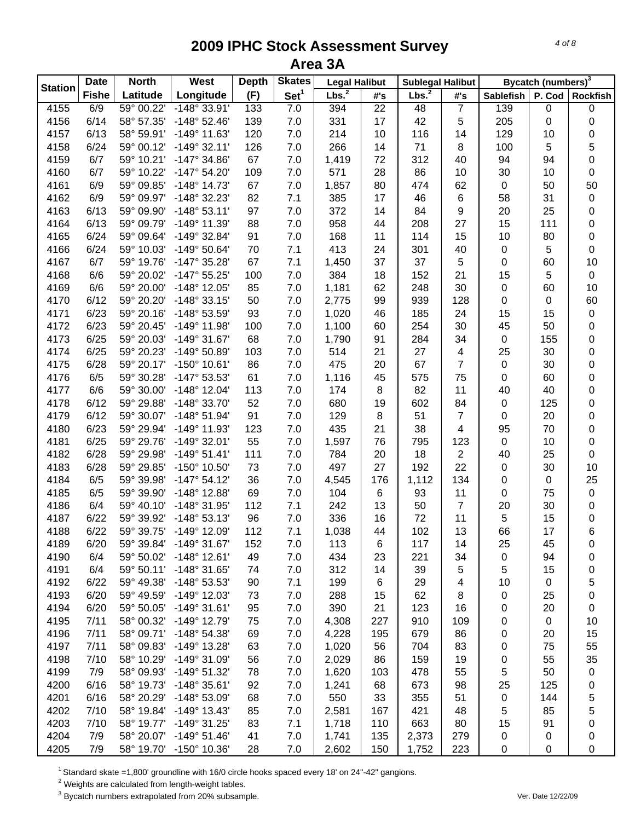|                | <b>Date</b>  | <b>North</b> | West                  | <b>Depth</b> | <b>Skates</b>    | <b>Legal Halibut</b> |                 | <b>Sublegal Halibut</b> |                         | Bycatch (numbers) <sup>3</sup> |        |                 |
|----------------|--------------|--------------|-----------------------|--------------|------------------|----------------------|-----------------|-------------------------|-------------------------|--------------------------------|--------|-----------------|
| <b>Station</b> | <b>Fishe</b> | Latitude     | Longitude             | (F)          | Set <sup>1</sup> | Lbs. <sup>2</sup>    | #'s             | Lbs. <sup>2</sup>       | #'s                     | <b>Sablefish</b>               | P. Cod | <b>Rockfish</b> |
| 4155           | 6/9          | 59° 00.22'   | $-148^\circ 33.91'$   | 133          | 7.0              | 394                  | $\overline{22}$ | 48                      | $\overline{7}$          | 139                            | 0      | 0               |
| 4156           | 6/14         | 58° 57.35'   | $-148°52.46'$         | 139          | 7.0              | 331                  | 17              | 42                      | 5                       | 205                            | 0      | 0               |
| 4157           | 6/13         | 58° 59.91'   | -149° 11.63'          | 120          | 7.0              | 214                  | 10              | 116                     | 14                      | 129                            | 10     | 0               |
| 4158           | 6/24         | 59° 00.12'   | $-149°32.11'$         | 126          | 7.0              | 266                  | 14              | 71                      | $\,8\,$                 | 100                            | 5      | 5               |
| 4159           | 6/7          | 59° 10.21'   | $-147°34.86'$         | 67           | 7.0              | 1,419                | 72              | 312                     | 40                      | 94                             | 94     | 0               |
| 4160           | 6/7          | 59° 10.22'   | -147° 54.20'          | 109          | 7.0              | 571                  | 28              | 86                      | 10                      | 30                             | 10     | 0               |
| 4161           | 6/9          | 59° 09.85'   | $-148°$ 14.73'        | 67           | 7.0              | 1,857                | 80              | 474                     | 62                      | $\pmb{0}$                      | 50     | 50              |
| 4162           | 6/9          | 59° 09.97'   | -148° 32.23'          | 82           | 7.1              | 385                  | 17              | 46                      | 6                       | 58                             | 31     | 0               |
| 4163           | 6/13         | 59° 09.90'   | $-148°53.11'$         | 97           | 7.0              | 372                  | 14              | 84                      | 9                       | 20                             | 25     | 0               |
| 4164           | 6/13         | 59° 09.79'   | -149° 11.39'          | 88           | 7.0              | 958                  | 44              | 208                     | 27                      | 15                             | 111    | 0               |
| 4165           | 6/24         | 59° 09.64'   | -149° 32.84'          | 91           | 7.0              | 168                  | 11              | 114                     | 15                      | 10                             | 80     | 0               |
| 4166           | 6/24         | 59° 10.03'   | -149° 50.64'          | 70           | 7.1              | 413                  | 24              | 301                     | 40                      | 0                              | 5      | 0               |
| 4167           | 6/7          | 59° 19.76'   | -147° 35.28'          | 67           | 7.1              | 1,450                | 37              | 37                      | 5                       | 0                              | 60     | 10              |
| 4168           | 6/6          | 59° 20.02'   | -147° 55.25'          | 100          | 7.0              | 384                  | 18              | 152                     | 21                      | 15                             | 5      | $\pmb{0}$       |
| 4169           | 6/6          | 59° 20.00'   | -148° 12.05'          | 85           | 7.0              | 1,181                | 62              | 248                     | 30                      | 0                              | 60     | 10              |
| 4170           | 6/12         | 59° 20.20'   | $-148°33.15'$         | 50           | 7.0              | 2,775                | 99              | 939                     | 128                     | 0                              | 0      | 60              |
| 4171           | 6/23         | 59° 20.16'   | -148° 53.59'          | 93           | 7.0              | 1,020                | 46              | 185                     | 24                      | 15                             | 15     | $\,0\,$         |
| 4172           | 6/23         | 59° 20.45'   | -149° 11.98'          | 100          | 7.0              | 1,100                | 60              | 254                     | 30                      | 45                             | 50     | 0               |
| 4173           | 6/25         | 59° 20.03'   | -149° 31.67'          | 68           | 7.0              | 1,790                | 91              | 284                     | 34                      | $\boldsymbol{0}$               | 155    | 0               |
| 4174           | 6/25         | 59° 20.23'   | -149° 50.89'          | 103          | 7.0              | 514                  | 21              | 27                      | $\overline{\mathbf{4}}$ | 25                             | 30     | 0               |
| 4175           | 6/28         | 59° 20.17'   | $-150^{\circ}$ 10.61' | 86           | 7.0              | 475                  | 20              | 67                      | $\overline{7}$          | $\mathbf 0$                    | 30     | 0               |
| 4176           | 6/5          | 59° 30.28'   | -147° 53.53'          | 61           | 7.0              | 1,116                | 45              | 575                     | 75                      | $\boldsymbol{0}$               | 60     | 0               |
| 4177           | 6/6          | 59° 30.00'   | -148° 12.04'          | 113          | 7.0              | 174                  | 8               | 82                      | 11                      | 40                             | 40     | 0               |
| 4178           | 6/12         | 59° 29.88'   | -148° 33.70'          | 52           | 7.0              | 680                  | 19              | 602                     | 84                      | $\pmb{0}$                      | 125    | 0               |
| 4179           | 6/12         | 59° 30.07'   | $-148°51.94'$         | 91           | 7.0              | 129                  | 8               | 51                      | $\overline{7}$          | $\mathbf 0$                    | 20     | 0               |
| 4180           | 6/23         | 59° 29.94'   | -149° 11.93'          | 123          | 7.0              | 435                  | 21              | 38                      | $\overline{4}$          | 95                             | 70     | 0               |
| 4181           | 6/25         | 59° 29.76'   | -149° 32.01'          | 55           | 7.0              | 1,597                | 76              | 795                     | 123                     | $\pmb{0}$                      | 10     | 0               |
| 4182           | 6/28         | 59° 29.98'   | $-149°51.41'$         | 111          | 7.0              | 784                  | 20              | 18                      | $\overline{2}$          | 40                             | 25     | 0               |
| 4183           | 6/28         | 59° 29.85'   | -150° 10.50'          | 73           | 7.0              | 497                  | 27              | 192                     | 22                      | $\pmb{0}$                      | 30     | 10              |
| 4184           | 6/5          | 59° 39.98'   | $-147°54.12'$         | 36           | 7.0              | 4,545                | 176             | 1,112                   | 134                     | 0                              | 0      | 25              |
| 4185           | 6/5          | 59° 39.90'   | $-148°$ 12.88'        | 69           | 7.0              | 104                  | $\,6$           | 93                      | 11                      | 0                              | 75     | $\,0\,$         |
| 4186           | 6/4          | 59° 40.10'   | -148° 31.95'          | 112          | 7.1              | 242                  | 13              | 50                      | $\overline{7}$          | 20                             | 30     | 0               |
| 4187           | 6/22         | 59° 39.92'   | $-148°53.13'$         | 96           | 7.0              | 336                  | 16              | 72                      | 11                      | 5                              | 15     | 0               |
| 4188           | 6/22         | 59° 39.75'   | $-149°$ 12.09         | 112          | 7.1              | 1,038                | 44              | 102                     | 13                      | 66                             | 17     | 6               |
| 4189           | 6/20         | 59° 39.84'   | $-149°31.67'$         | 152          | 7.0              | 113                  | 6               | 117                     | 14                      | 25                             | 45     | 0               |
| 4190           | 6/4          | 59° 50.02'   | $-148°$ 12.61'        | 49           | 7.0              | 434                  | 23              | 221                     | 34                      | 0                              | 94     | 0               |
| 4191           | 6/4          | 59° 50.11'   | -148° 31.65'          | 74           | 7.0              | 312                  | 14              | 39                      | 5                       | 5                              | 15     | 0               |
| 4192           | 6/22         | 59° 49.38'   | -148° 53.53'          | 90           | 7.1              | 199                  | 6               | 29                      | $\overline{\mathbf{4}}$ | 10                             | 0      | 5               |
| 4193           | 6/20         | 59° 49.59'   | -149° 12.03'          | 73           | 7.0              | 288                  | 15              | 62                      | 8                       | 0                              | 25     | 0               |
| 4194           | 6/20         | 59° 50.05'   | $-149°31.61'$         | 95           | 7.0              | 390                  | 21              | 123                     | 16                      | 0                              | 20     | 0               |
| 4195           | 7/11         | 58° 00.32'   | -149° 12.79'          | 75           | 7.0              | 4,308                | 227             | 910                     | 109                     | 0                              | 0      | 10              |
| 4196           | 7/11         | 58° 09.71'   | $-148^\circ 54.38'$   | 69           | 7.0              | 4,228                | 195             | 679                     | 86                      | 0                              | 20     | 15              |
| 4197           | 7/11         | 58° 09.83'   | -149° 13.28'          | 63           | 7.0              | 1,020                | 56              | 704                     | 83                      | 0                              | 75     | 55              |
| 4198           | 7/10         | 58° 10.29'   | -149° 31.09'          | 56           | 7.0              | 2,029                | 86              | 159                     | 19                      | 0                              | 55     | 35              |
| 4199           | 7/9          | 58° 09.93'   | -149° 51.32'          | 78           | 7.0              | 1,620                | 103             | 478                     | 55                      | 5                              | 50     | 0               |
| 4200           | 6/16         | 58° 19.73'   | $-148°35.61'$         | 92           | 7.0              | 1,241                | 68              | 673                     | 98                      | 25                             | 125    | 0               |
| 4201           | 6/16         | 58° 20.29'   | -148° 53.09'          | 68           | 7.0              | 550                  | 33              | 355                     | 51                      | $\pmb{0}$                      | 144    | 5               |
| 4202           | 7/10         | 58° 19.84'   | $-149°$ 13.43'        | 85           | 7.0              | 2,581                | 167             | 421                     | 48                      | 5                              | 85     | 5               |
| 4203           | 7/10         | 58° 19.77'   | $-149°31.25'$         | 83           | 7.1              | 1,718                | 110             | 663                     | 80                      | 15                             | 91     | 0               |
| 4204           | 7/9          | 58° 20.07'   | $-149°51.46'$         | 41           | 7.0              | 1,741                | 135             | 2,373                   | 279                     | 0                              | 0      | 0               |
| 4205           | 7/9          | 58° 19.70'   | -150° 10.36'          | 28           | 7.0              | 2,602                | 150             | 1,752                   | 223                     | $\pmb{0}$                      | 0      | 0               |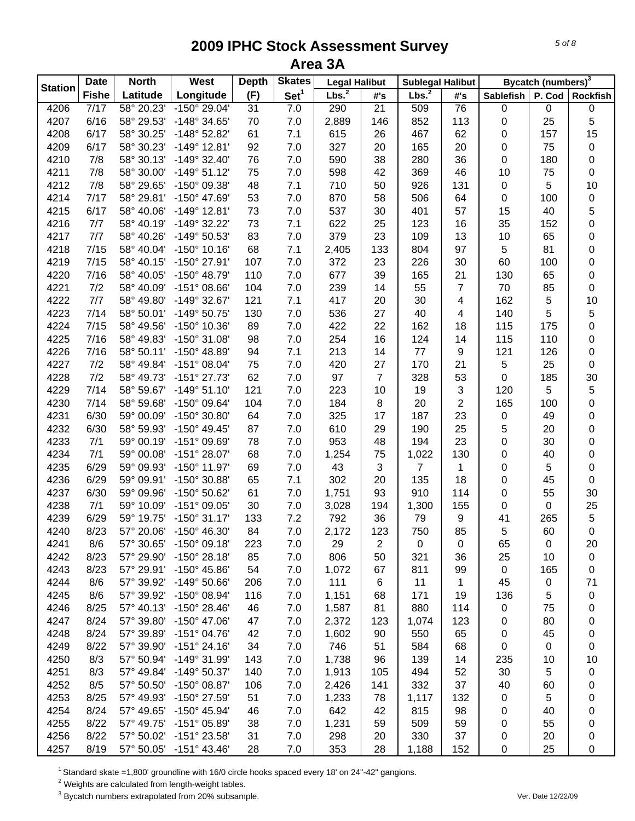|                | <b>Date</b>  | <b>North</b> | <b>West</b>           | <b>Depth</b> | <b>Skates</b>    | <b>Legal Halibut</b> |                | <b>Sublegal Halibut</b> |                         | Bycatch (numbers) <sup>3</sup> |           |                 |
|----------------|--------------|--------------|-----------------------|--------------|------------------|----------------------|----------------|-------------------------|-------------------------|--------------------------------|-----------|-----------------|
| <b>Station</b> | <b>Fishe</b> | Latitude     | Longitude             | (F)          | Set <sup>1</sup> | Lbs. <sup>2</sup>    | #'s            | Lbs. <sup>2</sup>       | #'s                     | <b>Sablefish</b>               | P. Cod    | <b>Rockfish</b> |
| 4206           | 7/17         | 58° 20.23'   | $-150^{\circ}$ 29.04' | 31           | 7.0              | 290                  | 21             | 509                     | 76                      | $\,0\,$                        | $\pmb{0}$ | $\pmb{0}$       |
| 4207           | 6/16         | 58° 29.53'   | -148° 34.65'          | 70           | 7.0              | 2,889                | 146            | 852                     | 113                     | 0                              | 25        | 5               |
| 4208           | 6/17         | 58° 30.25'   | -148° 52.82'          | 61           | 7.1              | 615                  | 26             | 467                     | 62                      | 0                              | 157       | 15              |
| 4209           | 6/17         | 58° 30.23'   | $-149°$ 12.81'        | 92           | 7.0              | 327                  | 20             | 165                     | 20                      | 0                              | 75        | $\pmb{0}$       |
| 4210           | 7/8          | 58° 30.13'   | $-149°32.40'$         | 76           | 7.0              | 590                  | 38             | 280                     | 36                      | 0                              | 180       | $\pmb{0}$       |
| 4211           | 7/8          | 58° 30.00'   | $-149°51.12'$         | 75           | 7.0              | 598                  | 42             | 369                     | 46                      | 10                             | 75        | $\pmb{0}$       |
| 4212           | 7/8          | 58° 29.65'   | -150° 09.38'          | 48           | 7.1              | 710                  | 50             | 926                     | 131                     | 0                              | 5         | 10              |
| 4214           | 7/17         | 58° 29.81'   | -150° 47.69'          | 53           | 7.0              | 870                  | 58             | 506                     | 64                      | 0                              | 100       | $\pmb{0}$       |
| 4215           | 6/17         | 58° 40.06'   | $-149°$ 12.81'        | 73           | 7.0              | 537                  | 30             | 401                     | 57                      | 15                             | 40        | 5               |
| 4216           | 7/7          | 58° 40.19'   | -149° 32.22'          | 73           | 7.1              | 622                  | 25             | 123                     | 16                      | 35                             | 152       | 0               |
| 4217           | 7/7          | 58° 40.26'   | -149° 50.53'          | 83           | 7.0              | 379                  | 23             | 109                     | 13                      | 10                             | 65        | 0               |
| 4218           | 7/15         | 58° 40.04'   | $-150^{\circ}$ 10.16' | 68           | 7.1              | 2,405                | 133            | 804                     | 97                      | 5                              | 81        | 0               |
| 4219           | 7/15         | 58° 40.15'   | -150° 27.91'          | 107          | 7.0              | 372                  | 23             | 226                     | 30                      | 60                             | 100       | $\pmb{0}$       |
| 4220           | 7/16         | 58° 40.05'   | -150° 48.79'          | 110          | 7.0              | 677                  | 39             | 165                     | 21                      | 130                            | 65        | $\pmb{0}$       |
| 4221           | 7/2          | 58° 40.09'   | $-151^{\circ}$ 08.66' | 104          | 7.0              | 239                  | 14             | 55                      | $\overline{7}$          | 70                             | 85        | $\pmb{0}$       |
| 4222           | 7/7          | 58° 49.80'   | -149° 32.67'          | 121          | 7.1              | 417                  | 20             | 30                      | $\overline{\mathbf{4}}$ | 162                            | 5         | 10              |
| 4223           | 7/14         | 58° 50.01'   | $-149°$ 50.75'        | 130          | $7.0$            | 536                  | 27             | 40                      | $\overline{4}$          | 140                            | 5         | 5               |
| 4224           | 7/15         | 58° 49.56'   | -150° 10.36'          | 89           | 7.0              | 422                  | 22             | 162                     | 18                      | 115                            | 175       | 0               |
| 4225           | 7/16         | 58° 49.83'   | -150° 31.08'          | 98           | $7.0$            | 254                  | 16             | 124                     | 14                      | 115                            | 110       | $\pmb{0}$       |
| 4226           | 7/16         | 58° 50.11'   | -150° 48.89'          | 94           | 7.1              | 213                  | 14             | 77                      | $\boldsymbol{9}$        | 121                            | 126       | $\pmb{0}$       |
| 4227           | 7/2          | 58° 49.84'   | $-151^{\circ}$ 08.04' | 75           | $7.0$            | 420                  | 27             | 170                     | 21                      | 5                              | 25        | $\pmb{0}$       |
| 4228           | 7/2          | 58° 49.73'   | -151° 27.73'          | 62           | 7.0              | 97                   | $\overline{7}$ | 328                     | 53                      | 0                              | 185       | 30              |
| 4229           | 7/14         | 58° 59.67'   | $-149°51.10'$         | 121          | 7.0              | 223                  | 10             | 19                      | $\mathfrak{S}$          | 120                            | 5         | $\sqrt{5}$      |
| 4230           | 7/14         | 58° 59.68'   | -150° 09.64'          | 104          | 7.0              | 184                  | 8              | 20                      | $\sqrt{2}$              | 165                            | 100       | $\pmb{0}$       |
| 4231           | 6/30         | 59° 00.09'   | -150° 30.80'          | 64           | 7.0              | 325                  | 17             | 187                     | 23                      |                                |           |                 |
|                |              |              |                       |              |                  |                      |                |                         |                         | 0                              | 49        | 0               |
| 4232           | 6/30         | 58° 59.93'   | $-150^{\circ}$ 49.45' | 87           | 7.0              | 610                  | 29             | 190                     | 25                      | 5                              | 20        | $\mathbf 0$     |
| 4233           | 7/1          | 59° 00.19'   | -151° 09.69'          | 78           | 7.0              | 953                  | 48             | 194                     | 23                      | 0                              | 30        | 0               |
| 4234           | 7/1          | 59° 00.08'   | -151° 28.07'          | 68           | 7.0              | 1,254                | 75             | 1,022                   | 130                     | 0                              | 40        | $\pmb{0}$       |
| 4235           | 6/29         | 59° 09.93'   | -150° 11.97'          | 69           | 7.0              | 43                   | 3              | 7                       | $\mathbf 1$             | 0                              | 5         | $\pmb{0}$       |
| 4236           | 6/29         | 59° 09.91'   | -150° 30.88'          | 65           | 7.1              | 302                  | 20             | 135                     | 18                      | 0                              | 45        | $\mathbf 0$     |
| 4237           | 6/30         | 59° 09.96'   | -150° 50.62'          | 61           | 7.0              | 1,751                | 93             | 910                     | 114                     | 0                              | 55        | 30              |
| 4238           | 7/1          | 59° 10.09'   | $-151^{\circ}$ 09.05' | 30           | 7.0              | 3,028                | 194            | 1,300                   | 155                     | 0                              | 0         | 25              |
| 4239           | 6/29         | 59° 19.75'   | $-150^{\circ}$ 31.17' | 133          | 7.2              | 792                  | 36             | 79                      | 9                       | 41                             | 265       | $\,$ 5 $\,$     |
| 4240           | 8/23         | 57° 20.06'   | -150° 46.30'          | 84           | $7.0$            | 2,172                | 123            | 750                     | 85                      | 5                              | 60        | $\pmb{0}$       |
| 4241           | 8/6          | 57° 30.65'   | $-150^{\circ}$ 09.18' | 223          | 7.0              | 29                   | 2              | $\boldsymbol{0}$        | 0                       | 65                             | 0         | 20              |
| 4242           | 8/23         | 57° 29.90'   | $-150^{\circ}$ 28.18' | 85           | 7.0              | 806                  | 50             | 321                     | 36                      | 25                             | 10        | 0               |
| 4243           | 8/23         | 57° 29.91'   | $-150^{\circ}$ 45.86' | 54           | $7.0$            | 1,072                | 67             | 811                     | 99                      | $\pmb{0}$                      | 165       | 0               |
| 4244           | 8/6          | 57° 39.92'   | -149° 50.66'          | 206          | $7.0$            | 111                  | 6              | 11                      | 1                       | 45                             | 0         | 71              |
| 4245           | 8/6          | 57° 39.92'   | -150° 08.94'          | 116          | 7.0              | 1,151                | 68             | 171                     | 19                      | 136                            | 5         | 0               |
| 4246           | 8/25         | 57° 40.13'   | -150° 28.46'          | 46           | $7.0$            | 1,587                | 81             | 880                     | 114                     | 0                              | 75        | 0               |
| 4247           | 8/24         | 57° 39.80'   | $-150^{\circ}$ 47.06' | 47           | 7.0              | 2,372                | 123            | 1,074                   | 123                     | 0                              | 80        | 0               |
| 4248           | 8/24         | 57° 39.89'   | -151° 04.76'          | 42           | 7.0              | 1,602                | 90             | 550                     | 65                      | 0                              | 45        | 0               |
| 4249           | 8/22         | 57° 39.90'   | $-151°$ 24.16'        | 34           | 7.0              | 746                  | 51             | 584                     | 68                      | 0                              | 0         | 0               |
| 4250           | 8/3          | 57° 50.94'   | -149° 31.99'          | 143          | 7.0              | 1,738                | 96             | 139                     | 14                      | 235                            | 10        | 10              |
| 4251           | 8/3          | 57° 49.84'   | -149° 50.37'          | 140          | 7.0              | 1,913                | 105            | 494                     | 52                      | 30                             | 5         | 0               |
| 4252           | 8/5          | 57° 50.50'   | -150° 08.87'          | 106          | 7.0              | 2,426                | 141            | 332                     | 37                      | 40                             | 60        | 0               |
| 4253           | 8/25         | 57° 49.93'   | -150° 27.59'          | 51           | 7.0              | 1,233                | 78             | 1,117                   | 132                     | 0                              | 5         | 0               |
| 4254           | 8/24         | 57° 49.65'   | -150° 45.94'          | 46           | 7.0              | 642                  | 42             | 815                     | 98                      | 0                              | 40        | 0               |
| 4255           | 8/22         | 57° 49.75'   | -151° 05.89'          | 38           | 7.0              | 1,231                | 59             | 509                     | 59                      | 0                              | 55        | 0               |
| 4256           | 8/22         | 57° 50.02'   | -151° 23.58'          | 31           | 7.0              | 298                  | 20             | 330                     | 37                      | 0                              | 20        | 0               |
| 4257           | 8/19         | 57° 50.05'   | $-151^{\circ}$ 43.46' | 28           | 7.0              | 353                  | 28             | 1,188                   | 152                     | 0                              | 25        | $\pmb{0}$       |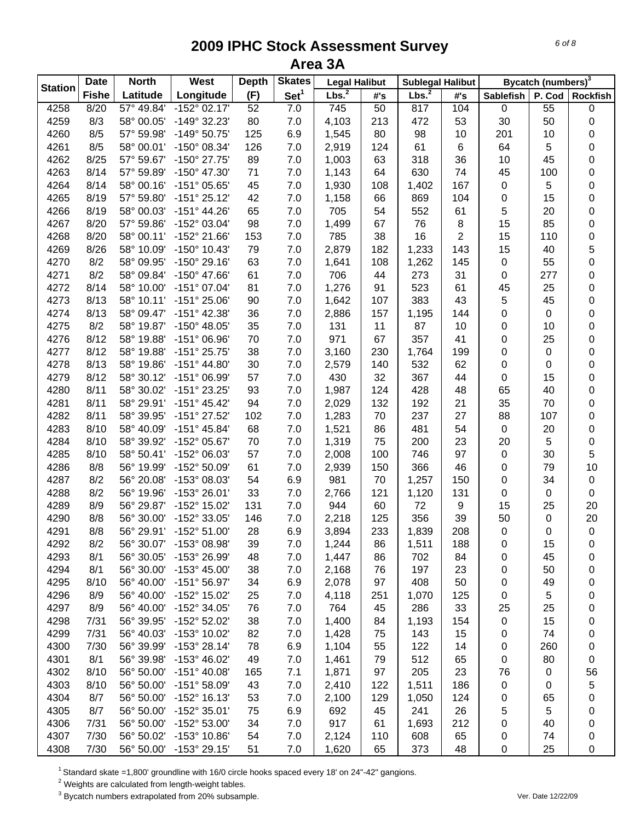| <b>Station</b> | <b>Date</b>  | <b>North</b> | West                  | <b>Depth</b> | <b>Skates</b>    | <b>Legal Halibut</b> |     | <b>Sublegal Halibut</b> |                |           | Bycatch (numbers) <sup>3</sup> |                 |
|----------------|--------------|--------------|-----------------------|--------------|------------------|----------------------|-----|-------------------------|----------------|-----------|--------------------------------|-----------------|
|                | <b>Fishe</b> | Latitude     | Longitude             | (F)          | Set <sup>1</sup> | Lbs. <sup>2</sup>    | #'s | Lbs. <sup>2</sup>       | #'s            | Sablefish | P. Cod                         | <b>Rockfish</b> |
| 4258           | 8/20         | 57° 49.84'   | $-152^{\circ}$ 02.17' | 52           | 7.0              | 745                  | 50  | 817                     | 104            | $\pmb{0}$ | 55                             | $\pmb{0}$       |
| 4259           | 8/3          | 58° 00.05'   | -149° 32.23'          | 80           | 7.0              | 4,103                | 213 | 472                     | 53             | 30        | 50                             | 0               |
| 4260           | 8/5          | 57° 59.98'   | -149° 50.75'          | 125          | 6.9              | 1,545                | 80  | 98                      | 10             | 201       | 10                             | $\pmb{0}$       |
| 4261           | 8/5          | 58° 00.01'   | -150° 08.34'          | 126          | 7.0              | 2,919                | 124 | 61                      | 6              | 64        | 5                              | $\pmb{0}$       |
| 4262           | 8/25         | 57° 59.67'   | -150° 27.75'          | 89           | 7.0              | 1,003                | 63  | 318                     | 36             | 10        | 45                             | $\pmb{0}$       |
| 4263           | 8/14         | 57° 59.89'   | -150° 47.30'          | 71           | 7.0              | 1,143                | 64  | 630                     | 74             | 45        | 100                            | $\pmb{0}$       |
| 4264           | 8/14         | 58° 00.16'   | $-151^{\circ}$ 05.65' | 45           | 7.0              | 1,930                | 108 | 1,402                   | 167            | 0         | 5                              | 0               |
| 4265           | 8/19         | 57° 59.80'   | $-151^{\circ} 25.12'$ | 42           | 7.0              | 1,158                | 66  | 869                     | 104            | 0         | 15                             | 0               |
| 4266           | 8/19         | 58° 00.03'   | $-151^{\circ}$ 44.26' | 65           | 7.0              | 705                  | 54  | 552                     | 61             | 5         | 20                             | $\pmb{0}$       |
| 4267           | 8/20         | 57° 59.86'   | -152° 03.04'          | 98           | 7.0              | 1,499                | 67  | 76                      | 8              | 15        | 85                             | $\pmb{0}$       |
| 4268           | 8/20         | 58° 00.11'   | -152° 21.66'          | 153          | 7.0              | 785                  | 38  | 16                      | $\overline{2}$ | 15        | 110                            | 0               |
| 4269           | 8/26         | 58° 10.09'   | $-150^{\circ}$ 10.43' | 79           | 7.0              | 2,879                | 182 | 1,233                   | 143            | 15        | 40                             | 5               |
| 4270           | 8/2          | 58° 09.95'   | -150° 29.16'          | 63           | 7.0              | 1,641                | 108 | 1,262                   | 145            | 0         | 55                             | 0               |
| 4271           | 8/2          | 58° 09.84'   | $-150^{\circ}$ 47.66' | 61           | 7.0              | 706                  | 44  | 273                     | 31             | 0         | 277                            | 0               |
| 4272           | 8/14         | 58° 10.00'   | $-151^{\circ}$ 07.04' | 81           | 7.0              | 1,276                | 91  | 523                     | 61             | 45        | 25                             | 0               |
| 4273           | 8/13         | 58° 10.11'   | $-151^{\circ} 25.06'$ | 90           | 7.0              | 1,642                | 107 | 383                     | 43             | 5         | 45                             | 0               |
| 4274           | 8/13         | 58° 09.47'   | $-151^{\circ}$ 42.38' | 36           | 7.0              | 2,886                | 157 | 1,195                   | 144            | 0         | 0                              | 0               |
| 4275           | 8/2          | 58° 19.87'   | $-150^{\circ}$ 48.05' | 35           | 7.0              | 131                  | 11  | 87                      | 10             | 0         | 10                             | 0               |
| 4276           | 8/12         | 58° 19.88'   | -151° 06.96'          | 70           | 7.0              | 971                  | 67  | 357                     | 41             | 0         | 25                             | 0               |
| 4277           | 8/12         | 58° 19.88'   | $-151^{\circ} 25.75'$ | 38           | $7.0$            | 3,160                | 230 | 1,764                   | 199            | 0         | 0                              | 0               |
| 4278           | 8/13         | 58° 19.86'   | $-151^{\circ}$ 44.80' | 30           | $7.0$            | 2,579                | 140 | 532                     | 62             | 0         | 0                              | $\pmb{0}$       |
| 4279           | 8/12         | 58° 30.12'   | -151° 06.99'          | 57           | 7.0              | 430                  | 32  | 367                     | 44             | 0         | 15                             | $\pmb{0}$       |
| 4280           | 8/11         | 58° 30.02'   | -151° 23.25'          | 93           | 7.0              | 1,987                | 124 | 428                     | 48             | 65        | 40                             | $\pmb{0}$       |
| 4281           | 8/11         | 58° 29.91'   | $-151^{\circ}$ 45.42' | 94           | 7.0              | 2,029                | 132 | 192                     | 21             | 35        | 70                             | 0               |
| 4282           | 8/11         | 58° 39.95'   | -151° 27.52'          | 102          | 7.0              | 1,283                | 70  | 237                     | 27             | 88        | 107                            | $\pmb{0}$       |
| 4283           | 8/10         | 58° 40.09'   | $-151^{\circ}$ 45.84' | 68           | 7.0              | 1,521                | 86  | 481                     | 54             | $\pmb{0}$ | 20                             | $\pmb{0}$       |
| 4284           | 8/10         | 58° 39.92'   | -152° 05.67'          | 70           | 7.0              | 1,319                | 75  | 200                     | 23             | 20        | 5                              | $\pmb{0}$       |
| 4285           | 8/10         | 58° 50.41'   | -152° 06.03'          | 57           | 7.0              | 2,008                | 100 | 746                     | 97             | 0         | 30                             | 5               |
| 4286           | 8/8          | 56° 19.99'   | -152° 50.09'          | 61           | 7.0              | 2,939                | 150 | 366                     | 46             | 0         | 79                             | 10              |
| 4287           | 8/2          | 56° 20.08'   | -153° 08.03'          | 54           | 6.9              | 981                  | 70  | 1,257                   | 150            | 0         | 34                             | $\pmb{0}$       |
| 4288           | 8/2          | 56° 19.96'   | -153° 26.01'          | 33           | 7.0              | 2,766                | 121 | 1,120                   | 131            | 0         | 0                              | $\mathbf 0$     |
| 4289           | 8/9          | 56° 29.87'   | -152° 15.02'          | 131          | 7.0              | 944                  | 60  | 72                      | 9              | 15        | 25                             | 20              |
| 4290           | 8/8          | 56° 30.00'   | -152° 33.05'          | 146          | 7.0              | 2,218                | 125 | 356                     | 39             | 50        | 0                              | 20              |
| 4291           | 8/8          | 56° 29.91'   | $-152^{\circ} 51.00'$ | 28           | 6.9              | 3,894                | 233 | 1,839                   | 208            | $\pmb{0}$ | 0                              | $\pmb{0}$       |
| 4292           | 8/2          | 56° 30.07'   | -153° 08.98'          | 39           | 7.0              | 1,244                | 86  | 1,511                   | 188            | 0         | 15                             | 0               |
| 4293           | 8/1          | 56° 30.05'   | -153° 26.99'          | 48           | $7.0$            | 1,447                | 86  | 702                     | 84             | 0         | 45                             | 0               |
| 4294           | 8/1          | 56° 30.00'   | $-153^{\circ}$ 45.00' | 38           | $7.0$            | 2,168                | 76  | 197                     | 23             | 0         | 50                             | 0               |
| 4295           | 8/10         | 56° 40.00'   | -151° 56.97'          | 34           | 6.9              | 2,078                | 97  | 408                     | 50             | 0         | 49                             | 0               |
| 4296           | 8/9          | 56° 40.00'   | -152° 15.02'          | 25           | $7.0$            | 4,118                | 251 | 1,070                   | 125            | 0         | 5                              | 0               |
| 4297           | 8/9          | 56° 40.00'   | -152° 34.05'          | 76           | $7.0$            | 764                  | 45  | 286                     | 33             | 25        | 25                             | 0               |
| 4298           | 7/31         | 56° 39.95'   | -152° 52.02'          | 38           | $7.0$            | 1,400                | 84  | 1,193                   | 154            | 0         | 15                             | 0               |
| 4299           | 7/31         | 56° 40.03'   | -153° 10.02'          | 82           | 7.0              | 1,428                | 75  | 143                     | 15             | 0         | 74                             | 0               |
| 4300           | 7/30         | 56° 39.99'   | $-153°28.14'$         | 78           | 6.9              | 1,104                | 55  | 122                     | 14             | 0         | 260                            | 0               |
| 4301           | 8/1          | 56° 39.98'   | -153° 46.02'          | 49           | $7.0$            | 1,461                | 79  | 512                     | 65             | 0         | 80                             | 0               |
| 4302           | 8/10         | 56° 50.00'   | $-151^{\circ}$ 40.08' | 165          | 7.1              | 1,871                | 97  | 205                     | 23             | 76        | 0                              | 56              |
| 4303           | 8/10         | 56° 50.00'   | $-151^{\circ} 58.09'$ | 43           | 7.0              | 2,410                | 122 | 1,511                   | 186            | 0         | 0                              | 5               |
| 4304           | 8/7          | 56° 50.00'   | -152° 16.13'          | 53           | 7.0              | 2,100                | 129 | 1,050                   | 124            | 0         | 65                             | 0               |
| 4305           | 8/7          | 56° 50.00'   | -152° 35.01'          | 75           | 6.9              | 692                  | 45  | 241                     | 26             | 5         | 5                              | 0               |
| 4306           | 7/31         | 56° 50.00'   | -152° 53.00'          | 34           | 7.0              | 917                  | 61  | 1,693                   | 212            | 0         | 40                             | 0               |
| 4307           | 7/30         | 56° 50.02'   | -153° 10.86'          | 54           | 7.0              | 2,124                | 110 | 608                     | 65             | 0         | 74                             | 0               |
| 4308           | 7/30         | 56° 50.00'   | $-153^{\circ}$ 29.15' | 51           | 7.0              | 1,620                | 65  | 373                     | 48             | 0         | 25                             | $\pmb{0}$       |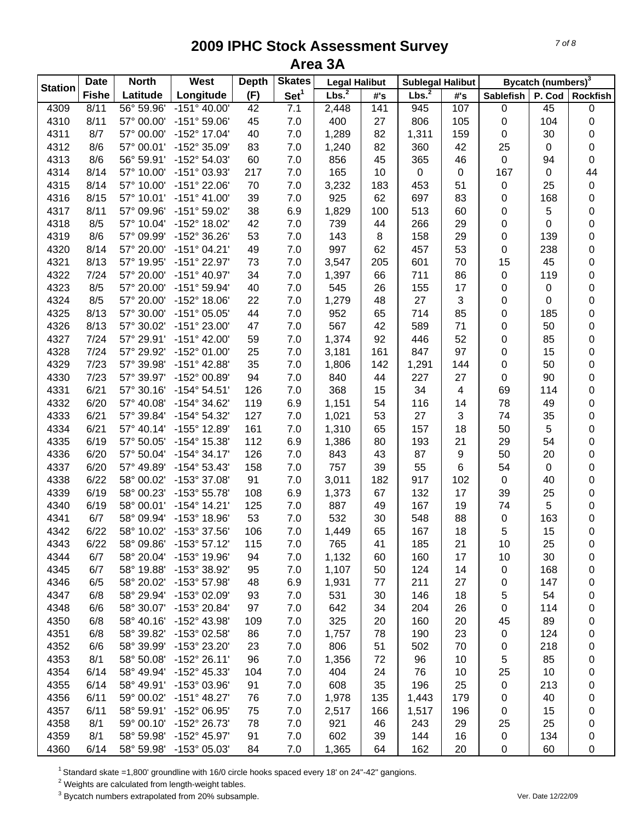|                | <b>Date</b>  | <b>North</b> | West                  | <b>Depth</b> | <b>Skates</b>    | <b>Legal Halibut</b> |                  | <b>Sublegal Halibut</b> |                         |             | Bycatch (numbers) <sup>3</sup> |                 |
|----------------|--------------|--------------|-----------------------|--------------|------------------|----------------------|------------------|-------------------------|-------------------------|-------------|--------------------------------|-----------------|
| <b>Station</b> | <b>Fishe</b> | Latitude     | Longitude             | (F)          | Set <sup>1</sup> | Lbs. <sup>2</sup>    | #'s              | Lbs. <sup>2</sup>       | #'s                     | Sablefish   | P. Cod                         | <b>Rockfish</b> |
| 4309           | 8/11         | 56° 59.96'   | $-151^{\circ}$ 40.00  | 42           | 7.1              | 2,448                | $\overline{141}$ | 945                     | 107                     | $\pmb{0}$   | 45                             | 0               |
| 4310           | 8/11         | 57° 00.00'   | $-151°59.06'$         | 45           | 7.0              | 400                  | 27               | 806                     | 105                     | 0           | 104                            | 0               |
| 4311           | 8/7          | 57° 00.00'   | -152° 17.04'          | 40           | 7.0              | 1,289                | 82               | 1,311                   | 159                     | 0           | 30                             | 0               |
| 4312           | 8/6          | 57° 00.01'   | -152° 35.09'          | 83           | 7.0              | 1,240                | 82               | 360                     | 42                      | 25          | 0                              | 0               |
| 4313           | 8/6          | 56° 59.91'   | -152° 54.03'          | 60           | 7.0              | 856                  | 45               | 365                     | 46                      | $\pmb{0}$   | 94                             | 0               |
| 4314           | 8/14         | 57° 10.00'   | -151° 03.93'          | 217          | 7.0              | 165                  | 10               | $\pmb{0}$               | $\mathbf 0$             | 167         | 0                              | 44              |
| 4315           | 8/14         | 57° 10.00'   | -151° 22.06'          | 70           | 7.0              | 3,232                | 183              | 453                     | 51                      | 0           | 25                             | $\mathbf 0$     |
| 4316           | 8/15         | 57° 10.01'   | $-151^{\circ}$ 41.00' | 39           | 7.0              | 925                  | 62               | 697                     | 83                      | 0           | 168                            | 0               |
| 4317           | 8/11         | 57° 09.96'   | -151° 59.02'          | 38           | 6.9              | 1,829                | 100              | 513                     | 60                      | 0           | 5                              | 0               |
| 4318           | 8/5          | 57° 10.04'   | -152° 18.02'          | 42           | 7.0              | 739                  | 44               | 266                     | 29                      | 0           | 0                              | 0               |
| 4319           | 8/6          | 57° 09.99'   | -152° 36.26'          | 53           | 7.0              | 143                  | 8                | 158                     | 29                      | 0           | 139                            | 0               |
| 4320           | 8/14         | 57° 20.00'   | $-151°04.21'$         | 49           | 7.0              | 997                  | 62               | 457                     | 53                      | 0           | 238                            | 0               |
| 4321           | 8/13         | 57° 19.95'   | -151° 22.97'          | 73           | 7.0              | 3,547                | 205              | 601                     | 70                      | 15          | 45                             | 0               |
| 4322           | 7/24         | 57° 20.00'   | -151° 40.97'          | 34           | 7.0              | 1,397                | 66               | 711                     | 86                      | 0           | 119                            | 0               |
| 4323           | 8/5          | 57° 20.00'   | $-151^{\circ}59.94'$  | 40           | 7.0              | 545                  | 26               | 155                     | 17                      | 0           | 0                              | 0               |
| 4324           | 8/5          | 57° 20.00'   | $-152^{\circ}$ 18.06' | 22           | 7.0              | 1,279                | 48               | 27                      | 3                       | 0           | 0                              | 0               |
| 4325           | 8/13         | 57° 30.00'   | $-151°05.05'$         | 44           | 7.0              | 952                  | 65               | 714                     | 85                      | 0           | 185                            | 0               |
| 4326           | 8/13         | 57° 30.02'   | $-151^{\circ} 23.00'$ | 47           | 7.0              | 567                  | 42               | 589                     | 71                      | 0           | 50                             | 0               |
| 4327           | 7/24         | 57° 29.91'   | $-151^{\circ}$ 42.00' | 59           | 7.0              | 1,374                | 92               | 446                     | 52                      | 0           | 85                             | 0               |
| 4328           | 7/24         | 57° 29.92'   | -152° 01.00'          | 25           | 7.0              | 3,181                | 161              | 847                     | 97                      | 0           | 15                             | 0               |
| 4329           | 7/23         | 57° 39.98'   | $-151^{\circ}$ 42.88' | 35           | 7.0              | 1,806                | 142              | 1,291                   | 144                     | 0           | 50                             | 0               |
| 4330           | 7/23         | 57° 39.97'   | -152° 00.89'          | 94           | 7.0              | 840                  | 44               | 227                     | 27                      | $\pmb{0}$   | 90                             |                 |
|                | 6/21         | 57° 30.16'   | $-154^{\circ} 54.51'$ | 126          | 7.0              | 368                  | 15               | 34                      | $\overline{\mathbf{4}}$ | 69          | 114                            | 0               |
| 4331           | 6/20         |              | -154° 34.62'          |              |                  |                      |                  |                         | 14                      | 78          |                                | 0               |
| 4332           |              | 57° 40.08'   |                       | 119          | 6.9              | 1,151                | 54               | 116                     | 3                       |             | 49                             | 0               |
| 4333           | 6/21         | 57° 39.84'   | -154° 54.32'          | 127          | 7.0              | 1,021                | 53               | 27                      |                         | 74          | 35                             | 0               |
| 4334           | 6/21         | 57° 40.14'   | -155° 12.89'          | 161          | 7.0              | 1,310                | 65               | 157                     | 18                      | 50          | 5                              | 0               |
| 4335           | 6/19         | 57° 50.05'   | -154° 15.38'          | 112          | 6.9              | 1,386                | 80               | 193                     | 21                      | 29          | 54                             | 0               |
| 4336           | 6/20         | 57° 50.04'   | $-154^{\circ}$ 34.17' | 126          | 7.0              | 843                  | 43               | 87                      | 9                       | 50          | 20                             | 0               |
| 4337           | 6/20         | 57° 49.89'   | -154° 53.43'          | 158          | 7.0              | 757                  | 39               | 55                      | 6                       | 54          | 0                              | 0               |
| 4338           | 6/22         | 58° 00.02'   | -153° 37.08'          | 91           | 7.0              | 3,011                | 182              | 917                     | 102                     | $\mathbf 0$ | 40                             | 0               |
| 4339           | 6/19         | 58° 00.23'   | -153° 55.78'          | 108          | 6.9              | 1,373                | 67               | 132                     | 17                      | 39          | 25                             | 0               |
| 4340           | 6/19         | 58° 00.01'   | $-154^{\circ}$ 14.21' | 125          | 7.0              | 887                  | 49               | 167                     | 19                      | 74          | 5                              | 0               |
| 4341           | 6/7          | 58° 09.94'   | -153° 18.96'          | 53           | 7.0              | 532                  | 30               | 548                     | 88                      | 0           | 163                            | 0               |
| 4342           | 6/22         | 58° 10.02'   | -153° 37.56'          | 106          | 7.0              | 1,449                | 65               | 167                     | 18                      | 5           | 15                             | 0               |
| 4343           | 6/22         | 58° 09.86'   | $-153^{\circ}57.12$   | 115          | 7.0              | 765                  | 41               | 185                     | 21                      | 10          | 25                             | 0               |
| 4344           | 6/7          | 58° 20.04'   | -153° 19.96'          | 94           | 7.0              | 1,132                | 60               | 160                     | 17                      | 10          | 30                             | 0               |
| 4345           | 6/7          | 58° 19.88'   | -153° 38.92'          | 95           | 7.0              | 1,107                | 50               | 124                     | 14                      | 0           | 168                            | 0               |
| 4346           | 6/5          | 58° 20.02'   | -153° 57.98'          | 48           | 6.9              | 1,931                | 77               | 211                     | 27                      | 0           | 147                            | 0               |
| 4347           | 6/8          | 58° 29.94'   | -153° 02.09'          | 93           | 7.0              | 531                  | 30               | 146                     | 18                      | 5           | 54                             | 0               |
| 4348           | 6/6          | 58° 30.07'   | -153° 20.84'          | 97           | 7.0              | 642                  | 34               | 204                     | 26                      | 0           | 114                            | 0               |
| 4350           | 6/8          | 58° 40.16'   | -152° 43.98'          | 109          | 7.0              | 325                  | 20               | 160                     | 20                      | 45          | 89                             | 0               |
| 4351           | 6/8          | 58° 39.82'   | -153° 02.58'          | 86           | $7.0$            | 1,757                | 78               | 190                     | 23                      | 0           | 124                            | 0               |
| 4352           | 6/6          | 58° 39.99'   | -153° 23.20'          | 23           | 7.0              | 806                  | 51               | 502                     | 70                      | 0           | 218                            | 0               |
| 4353           | 8/1          | 58° 50.08'   | $-152^{\circ} 26.11'$ | 96           | 7.0              | 1,356                | 72               | 96                      | 10                      | 5           | 85                             | 0               |
| 4354           | 6/14         | 58° 49.94'   | -152° 45.33'          | 104          | 7.0              | 404                  | 24               | 76                      | 10                      | 25          | 10                             | 0               |
| 4355           | 6/14         | 58° 49.91'   | -153° 03.96'          | 91           | $7.0$            | 608                  | 35               | 196                     | 25                      | 0           | 213                            | 0               |
| 4356           | 6/11         | 59° 00.02'   | $-151^{\circ}$ 48.27' | 76           | $7.0$            | 1,978                | 135              | 1,443                   | 179                     | 0           | 40                             | 0               |
| 4357           | 6/11         | 58° 59.91'   | -152° 06.95'          | 75           | 7.0              | 2,517                | 166              | 1,517                   | 196                     | 0           | 15                             | 0               |
| 4358           | 8/1          | 59° 00.10'   | -152° 26.73'          | 78           | 7.0              | 921                  | 46               | 243                     | 29                      | 25          | 25                             | 0               |
| 4359           | 8/1          | 58° 59.98'   | -152° 45.97'          | 91           | 7.0              | 602                  | 39               | 144                     | 16                      | 0           | 134                            | 0               |
| 4360           | 6/14         | 58° 59.98'   | $-153^{\circ}$ 05.03  | 84           | $7.0$            | 1,365                | 64               | 162                     | 20                      | 0           | 60                             | 0               |